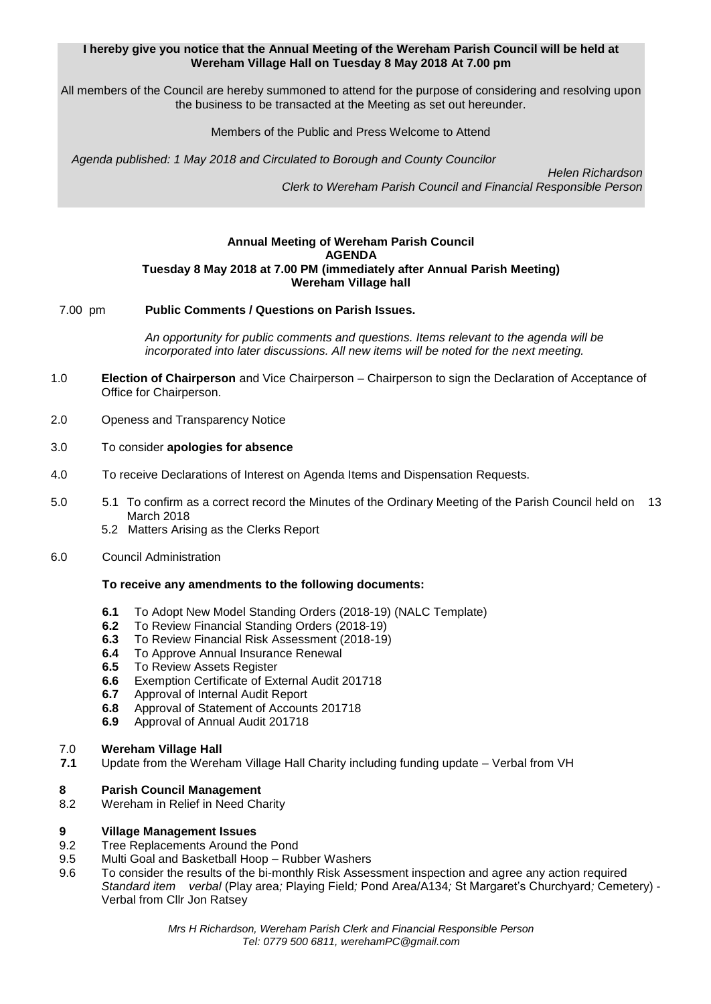# **I hereby give you notice that the Annual Meeting of the Wereham Parish Council will be held at Wereham Village Hall on Tuesday 8 May 2018 At 7.00 pm**

All members of the Council are hereby summoned to attend for the purpose of considering and resolving upon the business to be transacted at the Meeting as set out hereunder.

## Members of the Public and Press Welcome to Attend

*Agenda published: 1 May 2018 and Circulated to Borough and County Councilor* 

 *Helen Richardson Clerk to Wereham Parish Council and Financial Responsible Person*

## **Annual Meeting of Wereham Parish Council AGENDA Tuesday 8 May 2018 at 7.00 PM (immediately after Annual Parish Meeting) Wereham Village hall**

## 7.00 pm **Public Comments / Questions on Parish Issues.**

*An opportunity for public comments and questions. Items relevant to the agenda will be incorporated into later discussions. All new items will be noted for the next meeting.*

- 1.0 **Election of Chairperson** and Vice Chairperson Chairperson to sign the Declaration of Acceptance of Office for Chairperson.
- 2.0 Openess and Transparency Notice
- 3.0 To consider **apologies for absence**
- 4.0 To receive Declarations of Interest on Agenda Items and Dispensation Requests.
- 5.0 5.1 To confirm as a correct record the Minutes of the Ordinary Meeting of the Parish Council held on 13 March 2018
	- 5.2 Matters Arising as the Clerks Report
- 6.0 Council Administration

## **To receive any amendments to the following documents:**

- **6.1** To Adopt New Model Standing Orders (2018-19) (NALC Template)
- **6.2** To Review Financial Standing Orders (2018-19)
- **6.3** To Review Financial Risk Assessment (2018-19)
- **6.4** To Approve Annual Insurance Renewal
- **6.5** To Review Assets Register
- **6.6** Exemption Certificate of External Audit 201718<br>**6.7** Approval of Internal Audit Report
- **6.7** Approval of Internal Audit Report
- **6.8** Approval of Statement of Accounts 201718
- **6.9** Approval of Annual Audit 201718

# 7.0 **Wereham Village Hall**

**7.1** Update from the Wereham Village Hall Charity including funding update – Verbal from VH

# **8 Parish Council Management**

Wereham in Relief in Need Charity

## **9 Village Management Issues**

- 9.2 Tree Replacements Around the Pond
- 9.5 Multi Goal and Basketball Hoop Rubber Washers
- 9.6 To consider the results of the bi-monthly Risk Assessment inspection and agree any action required *Standard item verbal* (Play area*;* Playing Field*;* Pond Area/A134*;* St Margaret's Churchyard*;* Cemetery) - Verbal from Cllr Jon Ratsey